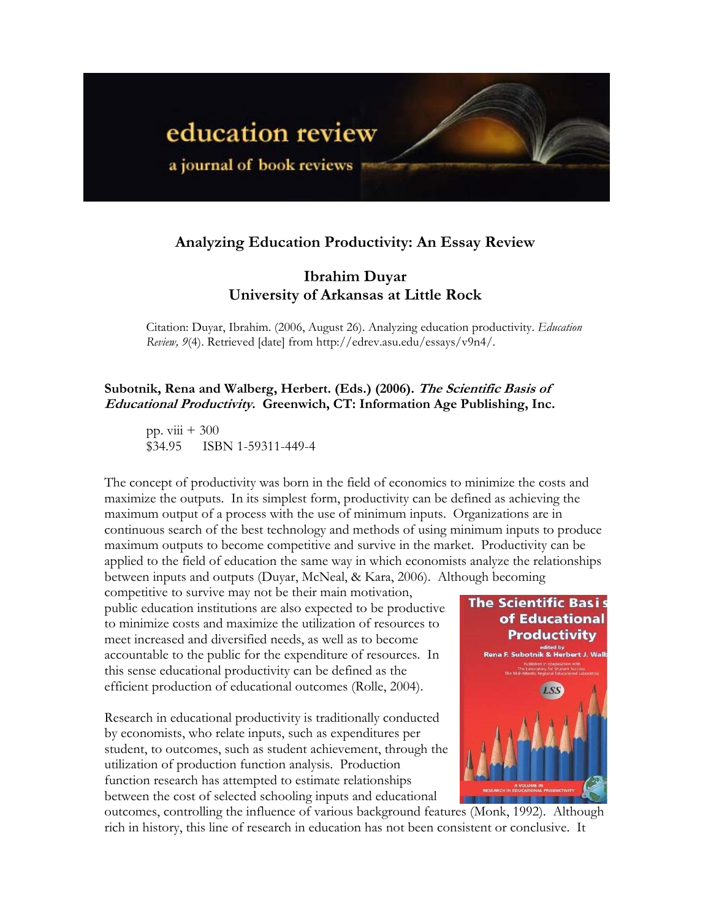

# **Analyzing Education Productivity: An Essay Review**

## **Ibrahim Duyar University of Arkansas at Little Rock**

Citation: Duyar, Ibrahim. (2006, August 26). Analyzing education productivity. *Education Review, 9*(4). Retrieved [date] from http://edrev.asu.edu/essays/v9n4/.

## **Subotnik, Rena and Walberg, Herbert. (Eds.) (2006). The Scientific Basis of Educational Productivity. Greenwich, CT: Information Age Publishing, Inc.**

pp.  $viii + 300$ \$34.95 ISBN 1-59311-449-4

The concept of productivity was born in the field of economics to minimize the costs and maximize the outputs. In its simplest form, productivity can be defined as achieving the maximum output of a process with the use of minimum inputs. Organizations are in continuous search of the best technology and methods of using minimum inputs to produce maximum outputs to become competitive and survive in the market. Productivity can be applied to the field of education the same way in which economists analyze the relationships between inputs and outputs (Duyar, McNeal, & Kara, 2006). Although becoming

competitive to survive may not be their main motivation, public education institutions are also expected to be productive to minimize costs and maximize the utilization of resources to meet increased and diversified needs, as well as to become accountable to the public for the expenditure of resources. In this sense educational productivity can be defined as the efficient production of educational outcomes (Rolle, 2004).

Research in educational productivity is traditionally conducted by economists, who relate inputs, such as expenditures per student, to outcomes, such as student achievement, through the utilization of production function analysis. Production function research has attempted to estimate relationships between the cost of selected schooling inputs and educational



outcomes, controlling the influence of various background features (Monk, 1992). Although rich in history, this line of research in education has not been consistent or conclusive. It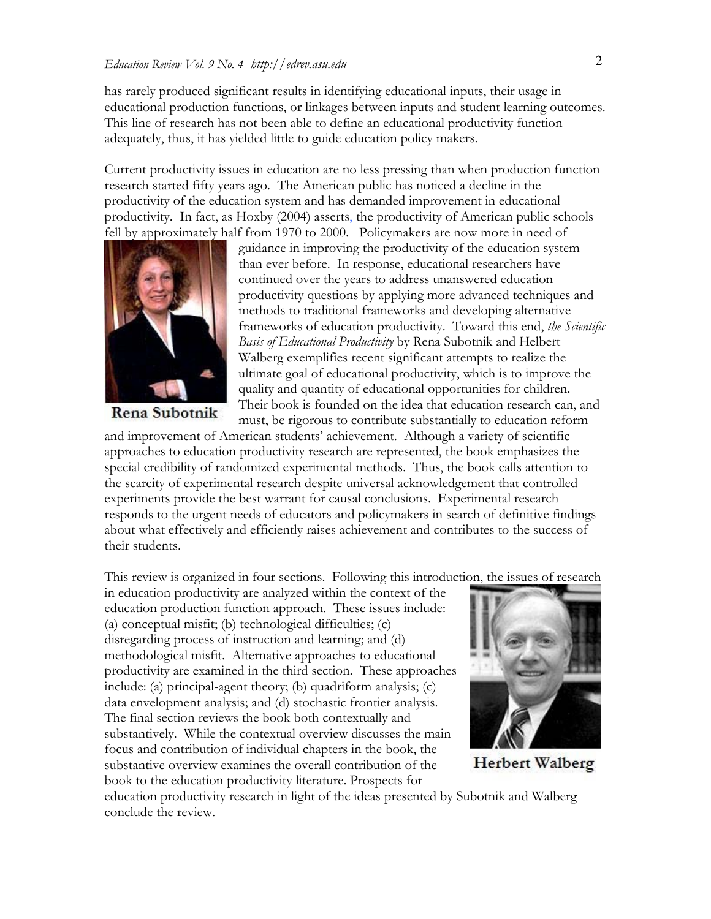has rarely produced significant results in identifying educational inputs, their usage in educational production functions, or linkages between inputs and student learning outcomes. This line of research has not been able to define an educational productivity function adequately, thus, it has yielded little to guide education policy makers.

Current productivity issues in education are no less pressing than when production function research started fifty years ago. The American public has noticed a decline in the productivity of the education system and has demanded improvement in educational productivity. In fact, as Hoxby (2004) asserts, the productivity of American public schools fell by approximately half from 1970 to 2000. Policymakers are now more in need of



Rena Subotnik

guidance in improving the productivity of the education system than ever before. In response, educational researchers have continued over the years to address unanswered education productivity questions by applying more advanced techniques and methods to traditional frameworks and developing alternative frameworks of education productivity. Toward this end, *the Scientific Basis of Educational Productivity* by Rena Subotnik and Helbert Walberg exemplifies recent significant attempts to realize the ultimate goal of educational productivity, which is to improve the quality and quantity of educational opportunities for children. Their book is founded on the idea that education research can, and must, be rigorous to contribute substantially to education reform

and improvement of American students' achievement. Although a variety of scientific approaches to education productivity research are represented, the book emphasizes the special credibility of randomized experimental methods. Thus, the book calls attention to the scarcity of experimental research despite universal acknowledgement that controlled experiments provide the best warrant for causal conclusions. Experimental research responds to the urgent needs of educators and policymakers in search of definitive findings about what effectively and efficiently raises achievement and contributes to the success of their students.

This review is organized in four sections. Following this introduction, the issues of research

in education productivity are analyzed within the context of the education production function approach. These issues include: (a) conceptual misfit; (b) technological difficulties; (c) disregarding process of instruction and learning; and (d) methodological misfit. Alternative approaches to educational productivity are examined in the third section. These approaches include: (a) principal-agent theory; (b) quadriform analysis; (c) data envelopment analysis; and (d) stochastic frontier analysis. The final section reviews the book both contextually and substantively. While the contextual overview discusses the main focus and contribution of individual chapters in the book, the substantive overview examines the overall contribution of the book to the education productivity literature. Prospects for



**Herbert Walberg** 

education productivity research in light of the ideas presented by Subotnik and Walberg conclude the review.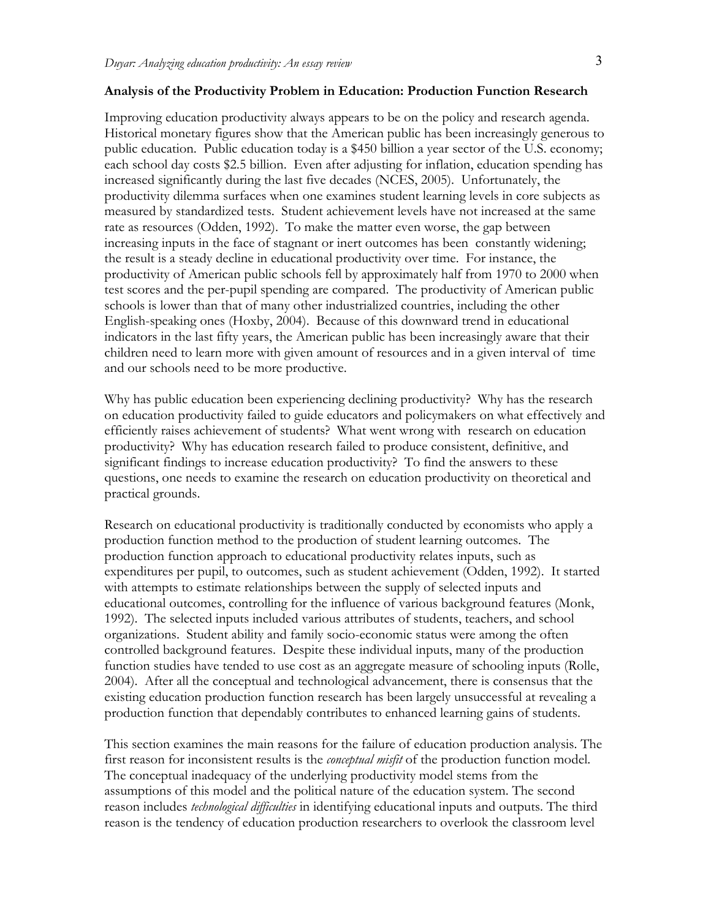#### **Analysis of the Productivity Problem in Education: Production Function Research**

Improving education productivity always appears to be on the policy and research agenda. Historical monetary figures show that the American public has been increasingly generous to public education. Public education today is a \$450 billion a year sector of the U.S. economy; each school day costs \$2.5 billion. Even after adjusting for inflation, education spending has increased significantly during the last five decades (NCES, 2005). Unfortunately, the productivity dilemma surfaces when one examines student learning levels in core subjects as measured by standardized tests. Student achievement levels have not increased at the same rate as resources (Odden, 1992). To make the matter even worse, the gap between increasing inputs in the face of stagnant or inert outcomes has been constantly widening; the result is a steady decline in educational productivity over time. For instance, the productivity of American public schools fell by approximately half from 1970 to 2000 when test scores and the per-pupil spending are compared. The productivity of American public schools is lower than that of many other industrialized countries, including the other English-speaking ones (Hoxby, 2004). Because of this downward trend in educational indicators in the last fifty years, the American public has been increasingly aware that their children need to learn more with given amount of resources and in a given interval of time and our schools need to be more productive.

Why has public education been experiencing declining productivity? Why has the research on education productivity failed to guide educators and policymakers on what effectively and efficiently raises achievement of students? What went wrong with research on education productivity? Why has education research failed to produce consistent, definitive, and significant findings to increase education productivity? To find the answers to these questions, one needs to examine the research on education productivity on theoretical and practical grounds.

Research on educational productivity is traditionally conducted by economists who apply a production function method to the production of student learning outcomes. The production function approach to educational productivity relates inputs, such as expenditures per pupil, to outcomes, such as student achievement (Odden, 1992). It started with attempts to estimate relationships between the supply of selected inputs and educational outcomes, controlling for the influence of various background features (Monk, 1992). The selected inputs included various attributes of students, teachers, and school organizations. Student ability and family socio-economic status were among the often controlled background features. Despite these individual inputs, many of the production function studies have tended to use cost as an aggregate measure of schooling inputs (Rolle, 2004). After all the conceptual and technological advancement, there is consensus that the existing education production function research has been largely unsuccessful at revealing a production function that dependably contributes to enhanced learning gains of students.

This section examines the main reasons for the failure of education production analysis. The first reason for inconsistent results is the *conceptual misfit* of the production function model. The conceptual inadequacy of the underlying productivity model stems from the assumptions of this model and the political nature of the education system. The second reason includes *technological difficulties* in identifying educational inputs and outputs. The third reason is the tendency of education production researchers to overlook the classroom level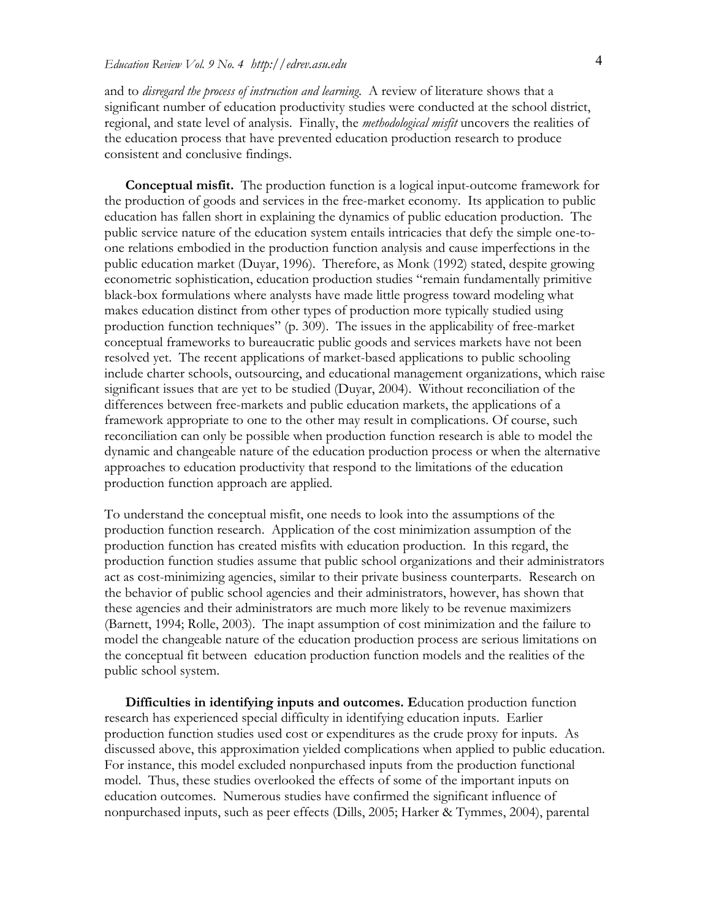and to *disregard the process of instruction and learning*. A review of literature shows that a significant number of education productivity studies were conducted at the school district, regional, and state level of analysis. Finally, the *methodological misfit* uncovers the realities of the education process that have prevented education production research to produce consistent and conclusive findings.

**Conceptual misfit.** The production function is a logical input-outcome framework for the production of goods and services in the free-market economy. Its application to public education has fallen short in explaining the dynamics of public education production. The public service nature of the education system entails intricacies that defy the simple one-toone relations embodied in the production function analysis and cause imperfections in the public education market (Duyar, 1996). Therefore, as Monk (1992) stated, despite growing econometric sophistication, education production studies "remain fundamentally primitive black-box formulations where analysts have made little progress toward modeling what makes education distinct from other types of production more typically studied using production function techniques" (p. 309). The issues in the applicability of free-market conceptual frameworks to bureaucratic public goods and services markets have not been resolved yet. The recent applications of market-based applications to public schooling include charter schools, outsourcing, and educational management organizations, which raise significant issues that are yet to be studied (Duyar, 2004). Without reconciliation of the differences between free-markets and public education markets, the applications of a framework appropriate to one to the other may result in complications. Of course, such reconciliation can only be possible when production function research is able to model the dynamic and changeable nature of the education production process or when the alternative approaches to education productivity that respond to the limitations of the education production function approach are applied.

To understand the conceptual misfit, one needs to look into the assumptions of the production function research. Application of the cost minimization assumption of the production function has created misfits with education production. In this regard, the production function studies assume that public school organizations and their administrators act as cost-minimizing agencies, similar to their private business counterparts. Research on the behavior of public school agencies and their administrators, however, has shown that these agencies and their administrators are much more likely to be revenue maximizers (Barnett, 1994; Rolle, 2003). The inapt assumption of cost minimization and the failure to model the changeable nature of the education production process are serious limitations on the conceptual fit between education production function models and the realities of the public school system.

**Difficulties in identifying inputs and outcomes. E**ducation production function research has experienced special difficulty in identifying education inputs. Earlier production function studies used cost or expenditures as the crude proxy for inputs. As discussed above, this approximation yielded complications when applied to public education. For instance, this model excluded nonpurchased inputs from the production functional model. Thus, these studies overlooked the effects of some of the important inputs on education outcomes. Numerous studies have confirmed the significant influence of nonpurchased inputs, such as peer effects (Dills, 2005; Harker & Tymmes, 2004), parental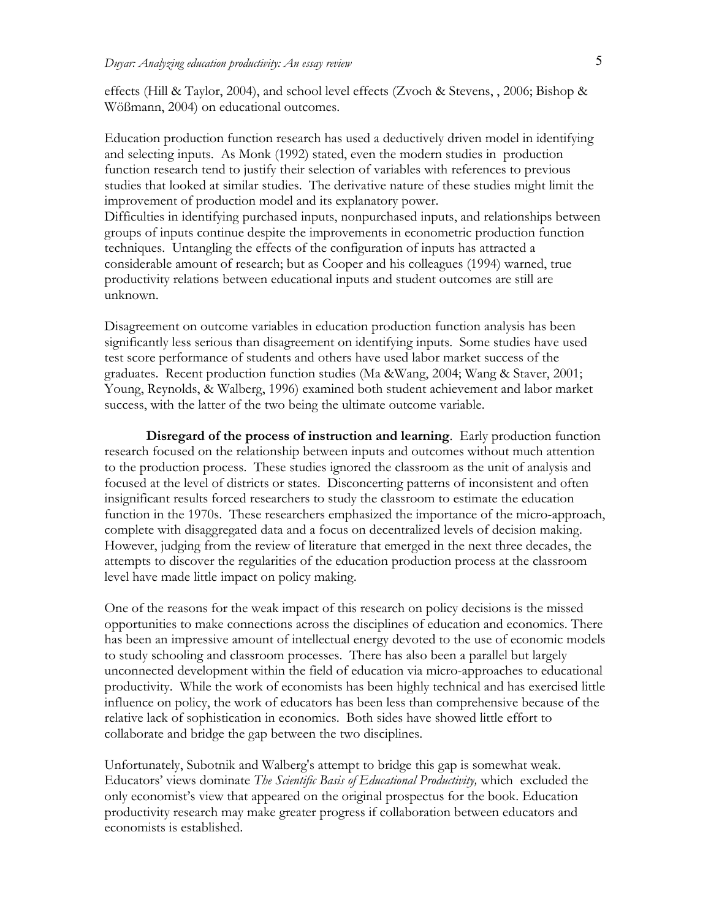effects (Hill & Taylor, 2004), and school level effects (Zvoch & Stevens, , 2006; Bishop & Wößmann, 2004) on educational outcomes.

Education production function research has used a deductively driven model in identifying and selecting inputs. As Monk (1992) stated, even the modern studies in production function research tend to justify their selection of variables with references to previous studies that looked at similar studies. The derivative nature of these studies might limit the improvement of production model and its explanatory power. Difficulties in identifying purchased inputs, nonpurchased inputs, and relationships between groups of inputs continue despite the improvements in econometric production function techniques. Untangling the effects of the configuration of inputs has attracted a considerable amount of research; but as Cooper and his colleagues (1994) warned, true productivity relations between educational inputs and student outcomes are still are unknown.

Disagreement on outcome variables in education production function analysis has been significantly less serious than disagreement on identifying inputs. Some studies have used test score performance of students and others have used labor market success of the graduates. Recent production function studies (Ma &Wang, 2004; Wang & Staver, 2001; Young, Reynolds, & Walberg, 1996) examined both student achievement and labor market success, with the latter of the two being the ultimate outcome variable.

**Disregard of the process of instruction and learning**. Early production function research focused on the relationship between inputs and outcomes without much attention to the production process. These studies ignored the classroom as the unit of analysis and focused at the level of districts or states. Disconcerting patterns of inconsistent and often insignificant results forced researchers to study the classroom to estimate the education function in the 1970s. These researchers emphasized the importance of the micro-approach, complete with disaggregated data and a focus on decentralized levels of decision making. However, judging from the review of literature that emerged in the next three decades, the attempts to discover the regularities of the education production process at the classroom level have made little impact on policy making.

One of the reasons for the weak impact of this research on policy decisions is the missed opportunities to make connections across the disciplines of education and economics. There has been an impressive amount of intellectual energy devoted to the use of economic models to study schooling and classroom processes. There has also been a parallel but largely unconnected development within the field of education via micro-approaches to educational productivity. While the work of economists has been highly technical and has exercised little influence on policy, the work of educators has been less than comprehensive because of the relative lack of sophistication in economics. Both sides have showed little effort to collaborate and bridge the gap between the two disciplines.

Unfortunately, Subotnik and Walberg's attempt to bridge this gap is somewhat weak. Educators' views dominate *The Scientific Basis of Educational Productivity,* which excluded the only economist's view that appeared on the original prospectus for the book. Education productivity research may make greater progress if collaboration between educators and economists is established.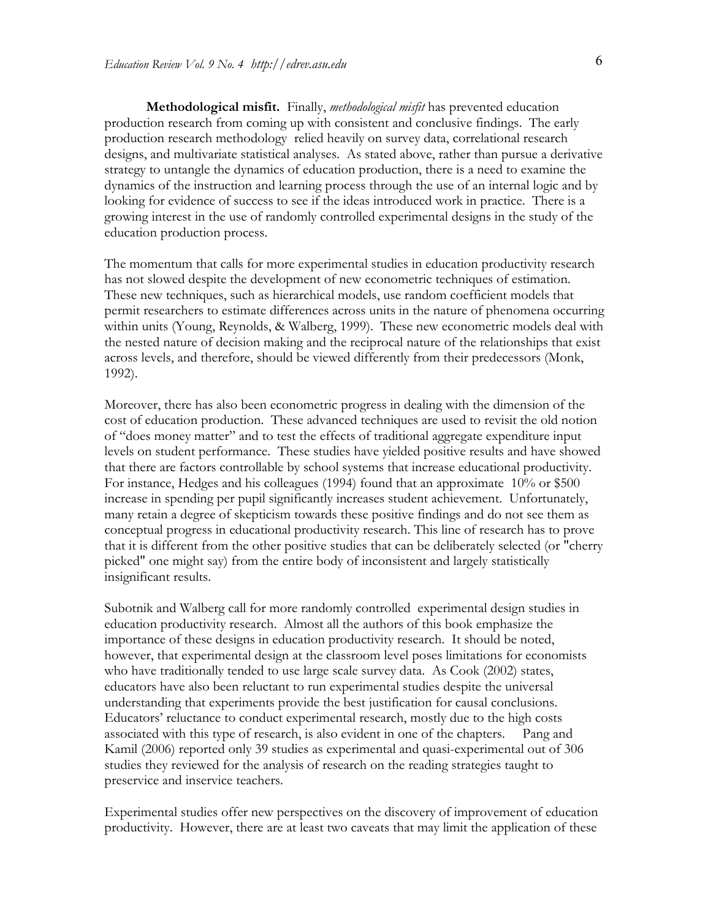**Methodological misfit.** Finally, *methodological misfit* has prevented education production research from coming up with consistent and conclusive findings. The early production research methodology relied heavily on survey data, correlational research designs, and multivariate statistical analyses. As stated above, rather than pursue a derivative strategy to untangle the dynamics of education production, there is a need to examine the dynamics of the instruction and learning process through the use of an internal logic and by looking for evidence of success to see if the ideas introduced work in practice. There is a growing interest in the use of randomly controlled experimental designs in the study of the education production process.

The momentum that calls for more experimental studies in education productivity research has not slowed despite the development of new econometric techniques of estimation. These new techniques, such as hierarchical models, use random coefficient models that permit researchers to estimate differences across units in the nature of phenomena occurring within units (Young, Reynolds, & Walberg, 1999). These new econometric models deal with the nested nature of decision making and the reciprocal nature of the relationships that exist across levels, and therefore, should be viewed differently from their predecessors (Monk, 1992).

Moreover, there has also been econometric progress in dealing with the dimension of the cost of education production. These advanced techniques are used to revisit the old notion of "does money matter" and to test the effects of traditional aggregate expenditure input levels on student performance. These studies have yielded positive results and have showed that there are factors controllable by school systems that increase educational productivity. For instance, Hedges and his colleagues (1994) found that an approximate 10% or \$500 increase in spending per pupil significantly increases student achievement. Unfortunately, many retain a degree of skepticism towards these positive findings and do not see them as conceptual progress in educational productivity research. This line of research has to prove that it is different from the other positive studies that can be deliberately selected (or "cherry picked" one might say) from the entire body of inconsistent and largely statistically insignificant results.

Subotnik and Walberg call for more randomly controlled experimental design studies in education productivity research. Almost all the authors of this book emphasize the importance of these designs in education productivity research. It should be noted, however, that experimental design at the classroom level poses limitations for economists who have traditionally tended to use large scale survey data. As Cook (2002) states, educators have also been reluctant to run experimental studies despite the universal understanding that experiments provide the best justification for causal conclusions. Educators' reluctance to conduct experimental research, mostly due to the high costs associated with this type of research, is also evident in one of the chapters. Pang and Kamil (2006) reported only 39 studies as experimental and quasi-experimental out of 306 studies they reviewed for the analysis of research on the reading strategies taught to preservice and inservice teachers.

Experimental studies offer new perspectives on the discovery of improvement of education productivity. However, there are at least two caveats that may limit the application of these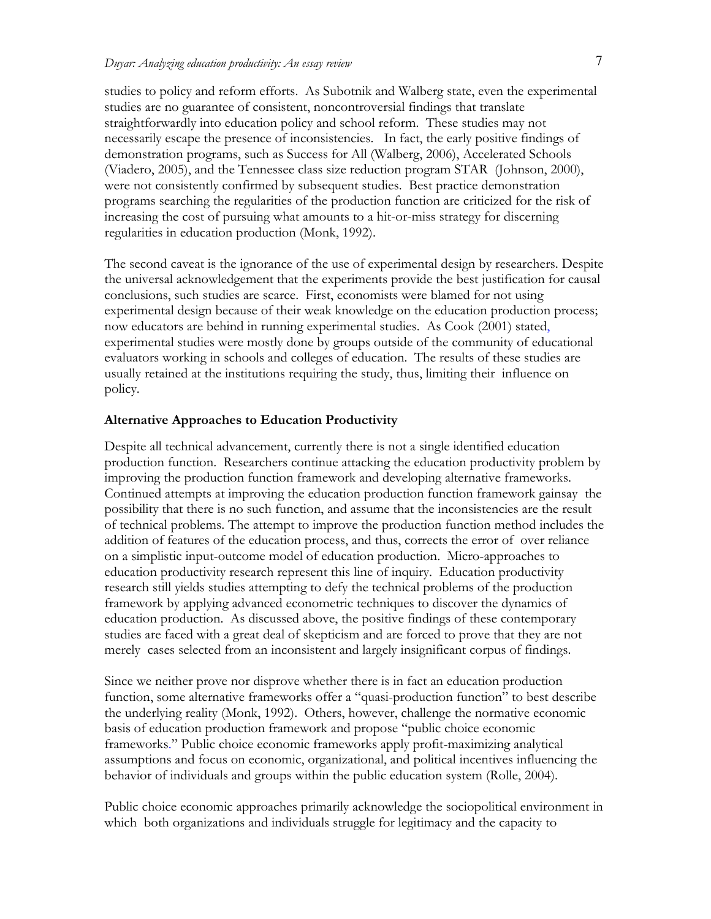studies to policy and reform efforts. As Subotnik and Walberg state, even the experimental studies are no guarantee of consistent, noncontroversial findings that translate straightforwardly into education policy and school reform. These studies may not necessarily escape the presence of inconsistencies. In fact, the early positive findings of demonstration programs, such as Success for All (Walberg, 2006), Accelerated Schools (Viadero, 2005), and the Tennessee class size reduction program STAR (Johnson, 2000), were not consistently confirmed by subsequent studies. Best practice demonstration programs searching the regularities of the production function are criticized for the risk of increasing the cost of pursuing what amounts to a hit-or-miss strategy for discerning regularities in education production (Monk, 1992).

The second caveat is the ignorance of the use of experimental design by researchers. Despite the universal acknowledgement that the experiments provide the best justification for causal conclusions, such studies are scarce. First, economists were blamed for not using experimental design because of their weak knowledge on the education production process; now educators are behind in running experimental studies. As Cook (2001) stated, experimental studies were mostly done by groups outside of the community of educational evaluators working in schools and colleges of education. The results of these studies are usually retained at the institutions requiring the study, thus, limiting their influence on policy.

### **Alternative Approaches to Education Productivity**

Despite all technical advancement, currently there is not a single identified education production function. Researchers continue attacking the education productivity problem by improving the production function framework and developing alternative frameworks. Continued attempts at improving the education production function framework gainsay the possibility that there is no such function, and assume that the inconsistencies are the result of technical problems. The attempt to improve the production function method includes the addition of features of the education process, and thus, corrects the error of over reliance on a simplistic input-outcome model of education production. Micro-approaches to education productivity research represent this line of inquiry. Education productivity research still yields studies attempting to defy the technical problems of the production framework by applying advanced econometric techniques to discover the dynamics of education production. As discussed above, the positive findings of these contemporary studies are faced with a great deal of skepticism and are forced to prove that they are not merely cases selected from an inconsistent and largely insignificant corpus of findings.

Since we neither prove nor disprove whether there is in fact an education production function, some alternative frameworks offer a "quasi-production function" to best describe the underlying reality (Monk, 1992). Others, however, challenge the normative economic basis of education production framework and propose "public choice economic frameworks." Public choice economic frameworks apply profit-maximizing analytical assumptions and focus on economic, organizational, and political incentives influencing the behavior of individuals and groups within the public education system (Rolle, 2004).

Public choice economic approaches primarily acknowledge the sociopolitical environment in which both organizations and individuals struggle for legitimacy and the capacity to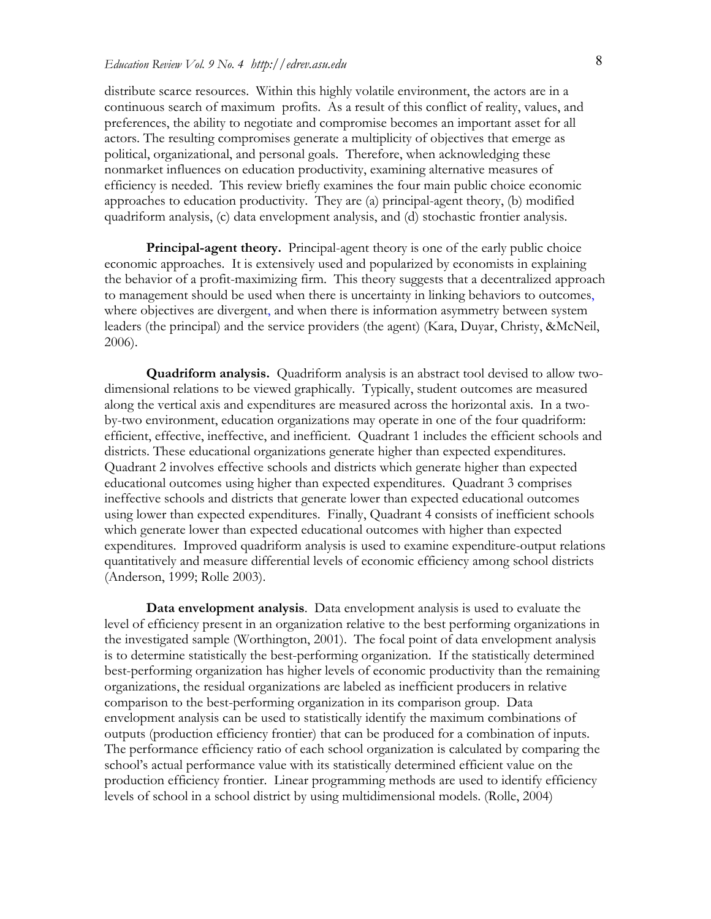distribute scarce resources. Within this highly volatile environment, the actors are in a continuous search of maximum profits. As a result of this conflict of reality, values, and preferences, the ability to negotiate and compromise becomes an important asset for all actors. The resulting compromises generate a multiplicity of objectives that emerge as political, organizational, and personal goals. Therefore, when acknowledging these nonmarket influences on education productivity, examining alternative measures of efficiency is needed. This review briefly examines the four main public choice economic approaches to education productivity. They are (a) principal-agent theory, (b) modified quadriform analysis, (c) data envelopment analysis, and (d) stochastic frontier analysis.

**Principal-agent theory.** Principal-agent theory is one of the early public choice economic approaches. It is extensively used and popularized by economists in explaining the behavior of a profit-maximizing firm. This theory suggests that a decentralized approach to management should be used when there is uncertainty in linking behaviors to outcomes, where objectives are divergent, and when there is information asymmetry between system leaders (the principal) and the service providers (the agent) (Kara, Duyar, Christy, &McNeil, 2006).

**Quadriform analysis.** Quadriform analysis is an abstract tool devised to allow twodimensional relations to be viewed graphically. Typically, student outcomes are measured along the vertical axis and expenditures are measured across the horizontal axis. In a twoby-two environment, education organizations may operate in one of the four quadriform: efficient, effective, ineffective, and inefficient. Quadrant 1 includes the efficient schools and districts. These educational organizations generate higher than expected expenditures. Quadrant 2 involves effective schools and districts which generate higher than expected educational outcomes using higher than expected expenditures. Quadrant 3 comprises ineffective schools and districts that generate lower than expected educational outcomes using lower than expected expenditures. Finally, Quadrant 4 consists of inefficient schools which generate lower than expected educational outcomes with higher than expected expenditures. Improved quadriform analysis is used to examine expenditure-output relations quantitatively and measure differential levels of economic efficiency among school districts (Anderson, 1999; Rolle 2003).

**Data envelopment analysis**. Data envelopment analysis is used to evaluate the level of efficiency present in an organization relative to the best performing organizations in the investigated sample (Worthington, 2001). The focal point of data envelopment analysis is to determine statistically the best-performing organization. If the statistically determined best-performing organization has higher levels of economic productivity than the remaining organizations, the residual organizations are labeled as inefficient producers in relative comparison to the best-performing organization in its comparison group. Data envelopment analysis can be used to statistically identify the maximum combinations of outputs (production efficiency frontier) that can be produced for a combination of inputs. The performance efficiency ratio of each school organization is calculated by comparing the school's actual performance value with its statistically determined efficient value on the production efficiency frontier. Linear programming methods are used to identify efficiency levels of school in a school district by using multidimensional models. (Rolle, 2004)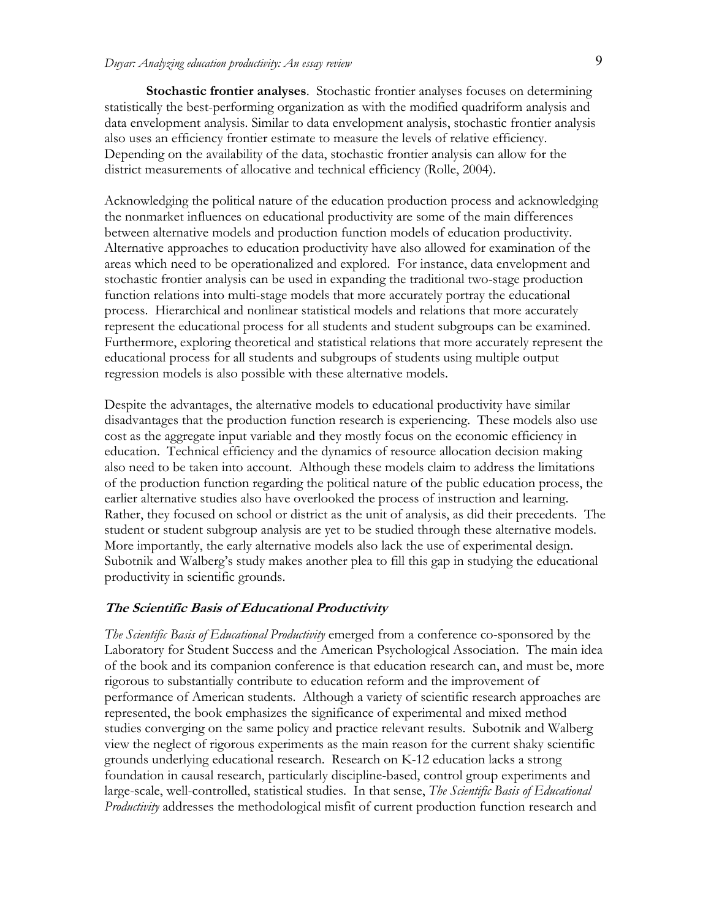**Stochastic frontier analyses**. Stochastic frontier analyses focuses on determining statistically the best-performing organization as with the modified quadriform analysis and data envelopment analysis. Similar to data envelopment analysis, stochastic frontier analysis also uses an efficiency frontier estimate to measure the levels of relative efficiency. Depending on the availability of the data, stochastic frontier analysis can allow for the district measurements of allocative and technical efficiency (Rolle, 2004).

Acknowledging the political nature of the education production process and acknowledging the nonmarket influences on educational productivity are some of the main differences between alternative models and production function models of education productivity. Alternative approaches to education productivity have also allowed for examination of the areas which need to be operationalized and explored. For instance, data envelopment and stochastic frontier analysis can be used in expanding the traditional two-stage production function relations into multi-stage models that more accurately portray the educational process. Hierarchical and nonlinear statistical models and relations that more accurately represent the educational process for all students and student subgroups can be examined. Furthermore, exploring theoretical and statistical relations that more accurately represent the educational process for all students and subgroups of students using multiple output regression models is also possible with these alternative models.

Despite the advantages, the alternative models to educational productivity have similar disadvantages that the production function research is experiencing. These models also use cost as the aggregate input variable and they mostly focus on the economic efficiency in education. Technical efficiency and the dynamics of resource allocation decision making also need to be taken into account. Although these models claim to address the limitations of the production function regarding the political nature of the public education process, the earlier alternative studies also have overlooked the process of instruction and learning. Rather, they focused on school or district as the unit of analysis, as did their precedents. The student or student subgroup analysis are yet to be studied through these alternative models. More importantly, the early alternative models also lack the use of experimental design. Subotnik and Walberg's study makes another plea to fill this gap in studying the educational productivity in scientific grounds.

#### **The Scientific Basis of Educational Productivity**

*The Scientific Basis of Educational Productivity* emerged from a conference co-sponsored by the Laboratory for Student Success and the American Psychological Association. The main idea of the book and its companion conference is that education research can, and must be, more rigorous to substantially contribute to education reform and the improvement of performance of American students. Although a variety of scientific research approaches are represented, the book emphasizes the significance of experimental and mixed method studies converging on the same policy and practice relevant results. Subotnik and Walberg view the neglect of rigorous experiments as the main reason for the current shaky scientific grounds underlying educational research. Research on K-12 education lacks a strong foundation in causal research, particularly discipline-based, control group experiments and large-scale, well-controlled, statistical studies. In that sense, *The Scientific Basis of Educational Productivity* addresses the methodological misfit of current production function research and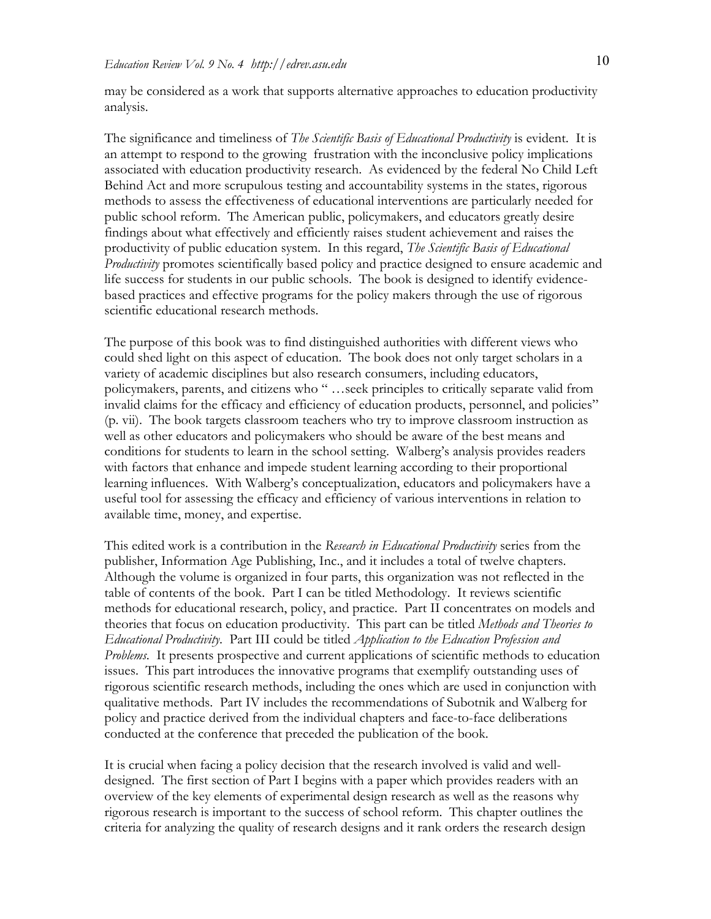may be considered as a work that supports alternative approaches to education productivity analysis.

The significance and timeliness of *The Scientific Basis of Educational Productivity* is evident. It is an attempt to respond to the growing frustration with the inconclusive policy implications associated with education productivity research. As evidenced by the federal No Child Left Behind Act and more scrupulous testing and accountability systems in the states, rigorous methods to assess the effectiveness of educational interventions are particularly needed for public school reform. The American public, policymakers, and educators greatly desire findings about what effectively and efficiently raises student achievement and raises the productivity of public education system. In this regard, *The Scientific Basis of Educational Productivity* promotes scientifically based policy and practice designed to ensure academic and life success for students in our public schools. The book is designed to identify evidencebased practices and effective programs for the policy makers through the use of rigorous scientific educational research methods.

The purpose of this book was to find distinguished authorities with different views who could shed light on this aspect of education. The book does not only target scholars in a variety of academic disciplines but also research consumers, including educators, policymakers, parents, and citizens who " …seek principles to critically separate valid from invalid claims for the efficacy and efficiency of education products, personnel, and policies" (p. vii). The book targets classroom teachers who try to improve classroom instruction as well as other educators and policymakers who should be aware of the best means and conditions for students to learn in the school setting. Walberg's analysis provides readers with factors that enhance and impede student learning according to their proportional learning influences. With Walberg's conceptualization, educators and policymakers have a useful tool for assessing the efficacy and efficiency of various interventions in relation to available time, money, and expertise.

This edited work is a contribution in the *Research in Educational Productivity* series from the publisher, Information Age Publishing, Inc., and it includes a total of twelve chapters. Although the volume is organized in four parts, this organization was not reflected in the table of contents of the book. Part I can be titled Methodology. It reviews scientific methods for educational research, policy, and practice. Part II concentrates on models and theories that focus on education productivity. This part can be titled *Methods and Theories to Educational Productivity*. Part III could be titled *Application to the Education Profession and Problems*. It presents prospective and current applications of scientific methods to education issues. This part introduces the innovative programs that exemplify outstanding uses of rigorous scientific research methods, including the ones which are used in conjunction with qualitative methods. Part IV includes the recommendations of Subotnik and Walberg for policy and practice derived from the individual chapters and face-to-face deliberations conducted at the conference that preceded the publication of the book.

It is crucial when facing a policy decision that the research involved is valid and welldesigned. The first section of Part I begins with a paper which provides readers with an overview of the key elements of experimental design research as well as the reasons why rigorous research is important to the success of school reform. This chapter outlines the criteria for analyzing the quality of research designs and it rank orders the research design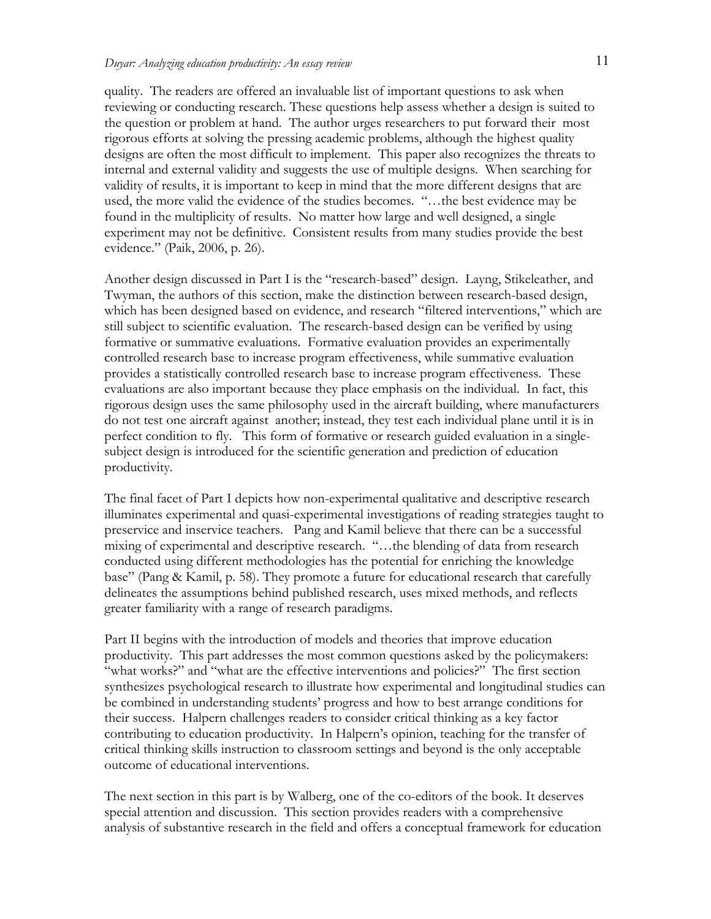quality. The readers are offered an invaluable list of important questions to ask when reviewing or conducting research. These questions help assess whether a design is suited to the question or problem at hand. The author urges researchers to put forward their most rigorous efforts at solving the pressing academic problems, although the highest quality designs are often the most difficult to implement. This paper also recognizes the threats to internal and external validity and suggests the use of multiple designs. When searching for validity of results, it is important to keep in mind that the more different designs that are used, the more valid the evidence of the studies becomes. "…the best evidence may be found in the multiplicity of results. No matter how large and well designed, a single experiment may not be definitive. Consistent results from many studies provide the best evidence." (Paik, 2006, p. 26).

Another design discussed in Part I is the "research-based" design. Layng, Stikeleather, and Twyman, the authors of this section, make the distinction between research-based design, which has been designed based on evidence, and research "filtered interventions," which are still subject to scientific evaluation. The research-based design can be verified by using formative or summative evaluations. Formative evaluation provides an experimentally controlled research base to increase program effectiveness, while summative evaluation provides a statistically controlled research base to increase program effectiveness. These evaluations are also important because they place emphasis on the individual. In fact, this rigorous design uses the same philosophy used in the aircraft building, where manufacturers do not test one aircraft against another; instead, they test each individual plane until it is in perfect condition to fly. This form of formative or research guided evaluation in a singlesubject design is introduced for the scientific generation and prediction of education productivity.

The final facet of Part I depicts how non-experimental qualitative and descriptive research illuminates experimental and quasi-experimental investigations of reading strategies taught to preservice and inservice teachers. Pang and Kamil believe that there can be a successful mixing of experimental and descriptive research. "…the blending of data from research conducted using different methodologies has the potential for enriching the knowledge base" (Pang & Kamil, p. 58). They promote a future for educational research that carefully delineates the assumptions behind published research, uses mixed methods, and reflects greater familiarity with a range of research paradigms.

Part II begins with the introduction of models and theories that improve education productivity. This part addresses the most common questions asked by the policymakers: "what works?" and "what are the effective interventions and policies?" The first section synthesizes psychological research to illustrate how experimental and longitudinal studies can be combined in understanding students' progress and how to best arrange conditions for their success. Halpern challenges readers to consider critical thinking as a key factor contributing to education productivity. In Halpern's opinion, teaching for the transfer of critical thinking skills instruction to classroom settings and beyond is the only acceptable outcome of educational interventions.

The next section in this part is by Walberg, one of the co-editors of the book. It deserves special attention and discussion. This section provides readers with a comprehensive analysis of substantive research in the field and offers a conceptual framework for education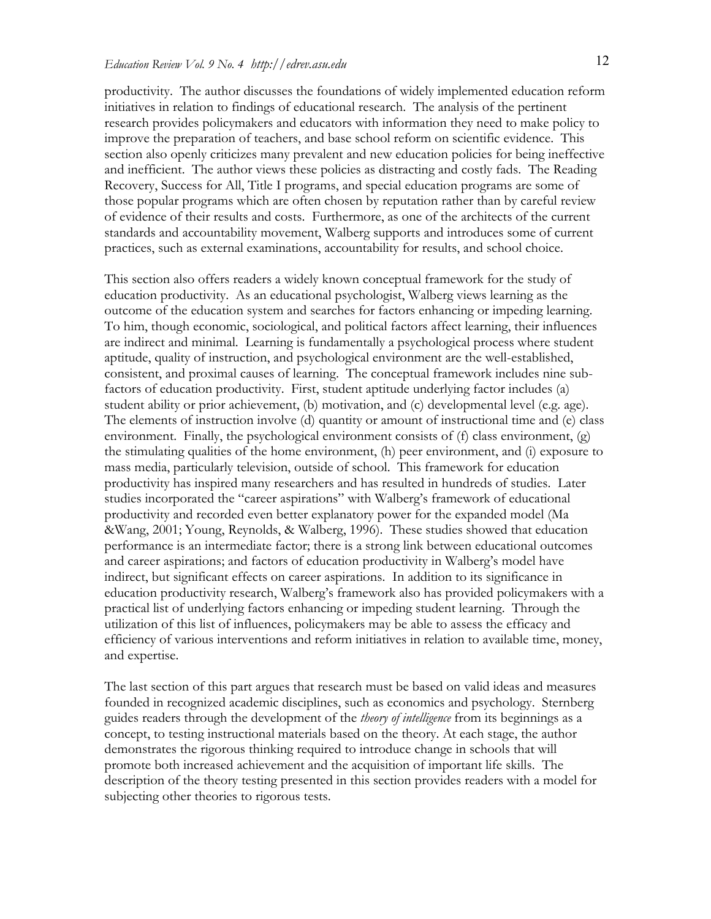productivity. The author discusses the foundations of widely implemented education reform initiatives in relation to findings of educational research. The analysis of the pertinent research provides policymakers and educators with information they need to make policy to improve the preparation of teachers, and base school reform on scientific evidence. This section also openly criticizes many prevalent and new education policies for being ineffective and inefficient. The author views these policies as distracting and costly fads. The Reading Recovery, Success for All, Title I programs, and special education programs are some of those popular programs which are often chosen by reputation rather than by careful review of evidence of their results and costs. Furthermore, as one of the architects of the current standards and accountability movement, Walberg supports and introduces some of current practices, such as external examinations, accountability for results, and school choice.

This section also offers readers a widely known conceptual framework for the study of education productivity. As an educational psychologist, Walberg views learning as the outcome of the education system and searches for factors enhancing or impeding learning. To him, though economic, sociological, and political factors affect learning, their influences are indirect and minimal. Learning is fundamentally a psychological process where student aptitude, quality of instruction, and psychological environment are the well-established, consistent, and proximal causes of learning. The conceptual framework includes nine subfactors of education productivity. First, student aptitude underlying factor includes (a) student ability or prior achievement, (b) motivation, and (c) developmental level (e.g. age). The elements of instruction involve (d) quantity or amount of instructional time and (e) class environment. Finally, the psychological environment consists of (f) class environment, (g) the stimulating qualities of the home environment, (h) peer environment, and (i) exposure to mass media, particularly television, outside of school. This framework for education productivity has inspired many researchers and has resulted in hundreds of studies. Later studies incorporated the "career aspirations" with Walberg's framework of educational productivity and recorded even better explanatory power for the expanded model (Ma &Wang, 2001; Young, Reynolds, & Walberg, 1996). These studies showed that education performance is an intermediate factor; there is a strong link between educational outcomes and career aspirations; and factors of education productivity in Walberg's model have indirect, but significant effects on career aspirations. In addition to its significance in education productivity research, Walberg's framework also has provided policymakers with a practical list of underlying factors enhancing or impeding student learning. Through the utilization of this list of influences, policymakers may be able to assess the efficacy and efficiency of various interventions and reform initiatives in relation to available time, money, and expertise.

The last section of this part argues that research must be based on valid ideas and measures founded in recognized academic disciplines, such as economics and psychology. Sternberg guides readers through the development of the *theory of intelligence* from its beginnings as a concept, to testing instructional materials based on the theory. At each stage, the author demonstrates the rigorous thinking required to introduce change in schools that will promote both increased achievement and the acquisition of important life skills. The description of the theory testing presented in this section provides readers with a model for subjecting other theories to rigorous tests.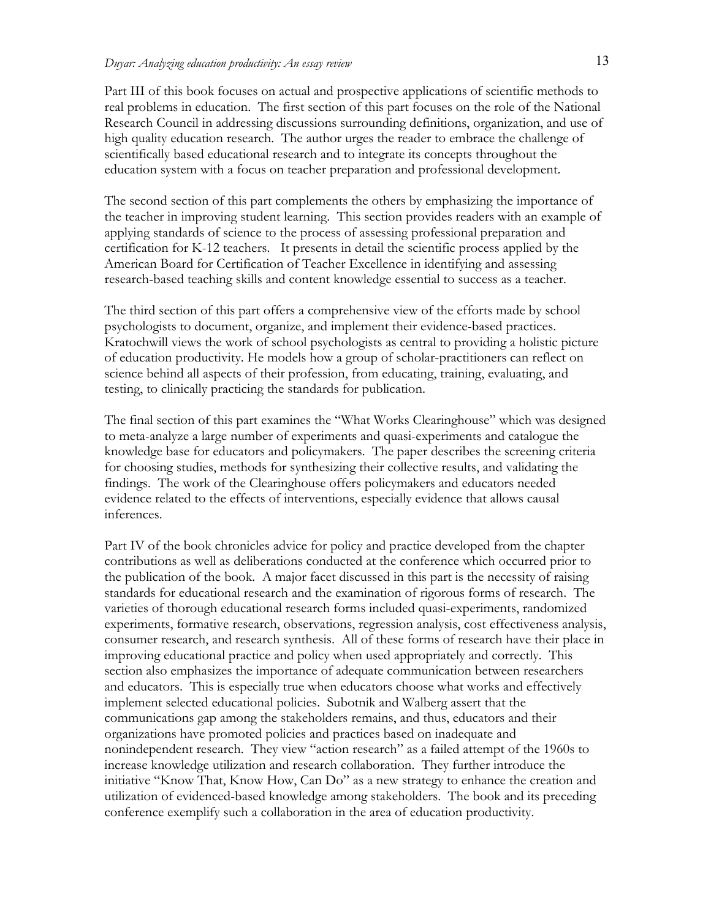Part III of this book focuses on actual and prospective applications of scientific methods to real problems in education. The first section of this part focuses on the role of the National Research Council in addressing discussions surrounding definitions, organization, and use of high quality education research. The author urges the reader to embrace the challenge of scientifically based educational research and to integrate its concepts throughout the education system with a focus on teacher preparation and professional development.

The second section of this part complements the others by emphasizing the importance of the teacher in improving student learning. This section provides readers with an example of applying standards of science to the process of assessing professional preparation and certification for K-12 teachers. It presents in detail the scientific process applied by the American Board for Certification of Teacher Excellence in identifying and assessing research-based teaching skills and content knowledge essential to success as a teacher.

The third section of this part offers a comprehensive view of the efforts made by school psychologists to document, organize, and implement their evidence-based practices. Kratochwill views the work of school psychologists as central to providing a holistic picture of education productivity. He models how a group of scholar-practitioners can reflect on science behind all aspects of their profession, from educating, training, evaluating, and testing, to clinically practicing the standards for publication.

The final section of this part examines the "What Works Clearinghouse" which was designed to meta-analyze a large number of experiments and quasi-experiments and catalogue the knowledge base for educators and policymakers. The paper describes the screening criteria for choosing studies, methods for synthesizing their collective results, and validating the findings. The work of the Clearinghouse offers policymakers and educators needed evidence related to the effects of interventions, especially evidence that allows causal inferences.

Part IV of the book chronicles advice for policy and practice developed from the chapter contributions as well as deliberations conducted at the conference which occurred prior to the publication of the book. A major facet discussed in this part is the necessity of raising standards for educational research and the examination of rigorous forms of research. The varieties of thorough educational research forms included quasi-experiments, randomized experiments, formative research, observations, regression analysis, cost effectiveness analysis, consumer research, and research synthesis. All of these forms of research have their place in improving educational practice and policy when used appropriately and correctly. This section also emphasizes the importance of adequate communication between researchers and educators. This is especially true when educators choose what works and effectively implement selected educational policies. Subotnik and Walberg assert that the communications gap among the stakeholders remains, and thus, educators and their organizations have promoted policies and practices based on inadequate and nonindependent research. They view "action research" as a failed attempt of the 1960s to increase knowledge utilization and research collaboration. They further introduce the initiative "Know That, Know How, Can Do" as a new strategy to enhance the creation and utilization of evidenced-based knowledge among stakeholders. The book and its preceding conference exemplify such a collaboration in the area of education productivity.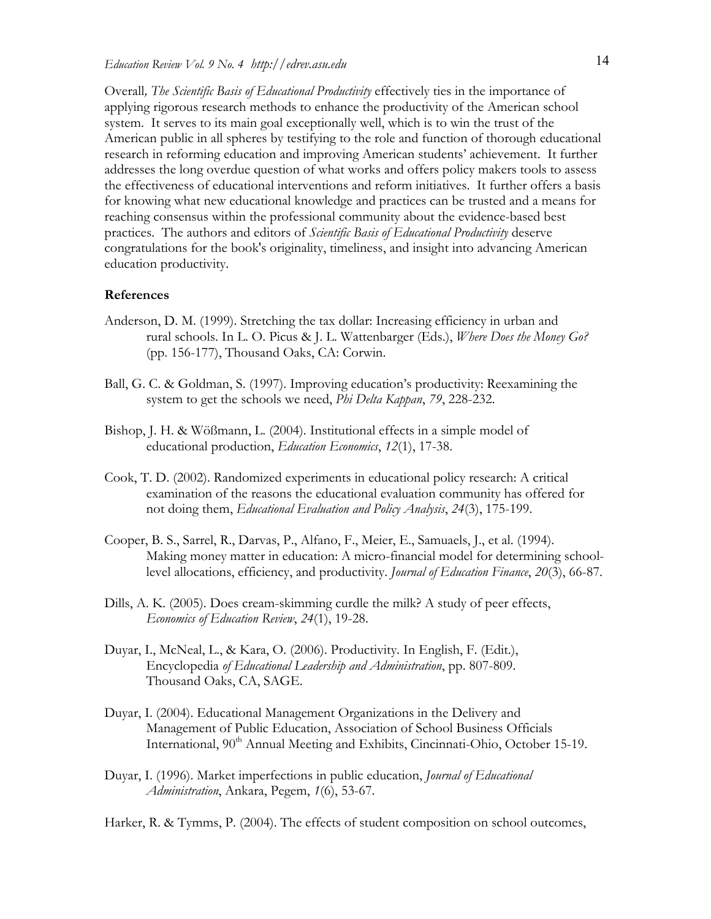Overall*, The Scientific Basis of Educational Productivity* effectively ties in the importance of applying rigorous research methods to enhance the productivity of the American school system. It serves to its main goal exceptionally well, which is to win the trust of the American public in all spheres by testifying to the role and function of thorough educational research in reforming education and improving American students' achievement. It further addresses the long overdue question of what works and offers policy makers tools to assess the effectiveness of educational interventions and reform initiatives. It further offers a basis for knowing what new educational knowledge and practices can be trusted and a means for reaching consensus within the professional community about the evidence-based best practices. The authors and editors of *Scientific Basis of Educational Productivity* deserve congratulations for the book's originality, timeliness, and insight into advancing American education productivity.

### **References**

- Anderson, D. M. (1999). Stretching the tax dollar: Increasing efficiency in urban and rural schools. In L. O. Picus & J. L. Wattenbarger (Eds.), *Where Does the Money Go?*  (pp. 156-177), Thousand Oaks, CA: Corwin.
- Ball, G. C. & Goldman, S. (1997). Improving education's productivity: Reexamining the system to get the schools we need, *Phi Delta Kappan*, *79*, 228-232.
- Bishop, J. H. & Wößmann, L. (2004). Institutional effects in a simple model of educational production, *Education Economics*, *12*(1), 17-38.
- Cook, T. D. (2002). Randomized experiments in educational policy research: A critical examination of the reasons the educational evaluation community has offered for not doing them, *Educational Evaluation and Policy Analysis*, *24*(3), 175-199.
- Cooper, B. S., Sarrel, R., Darvas, P., Alfano, F., Meier, E., Samuaels, J., et al. (1994). Making money matter in education: A micro-financial model for determining schoollevel allocations, efficiency, and productivity. *Journal of Education Finance*, *20*(3), 66-87.
- Dills, A. K. (2005). Does cream-skimming curdle the milk? A study of peer effects, *Economics of Education Review*, *24*(1), 19-28.
- Duyar, I., McNeal, L., & Kara, O. (2006). Productivity. In English, F. (Edit.), Encyclopedia *of Educational Leadership and Administration*, pp. 807-809. Thousand Oaks, CA, SAGE.
- Duyar, I. (2004). Educational Management Organizations in the Delivery and Management of Public Education, Association of School Business Officials International,  $90<sup>th</sup>$  Annual Meeting and Exhibits, Cincinnati-Ohio, October 15-19.
- Duyar, I. (1996). Market imperfections in public education, *Journal of Educational Administration*, Ankara, Pegem, *1*(6), 53-67.

Harker, R. & Tymms, P. (2004). The effects of student composition on school outcomes,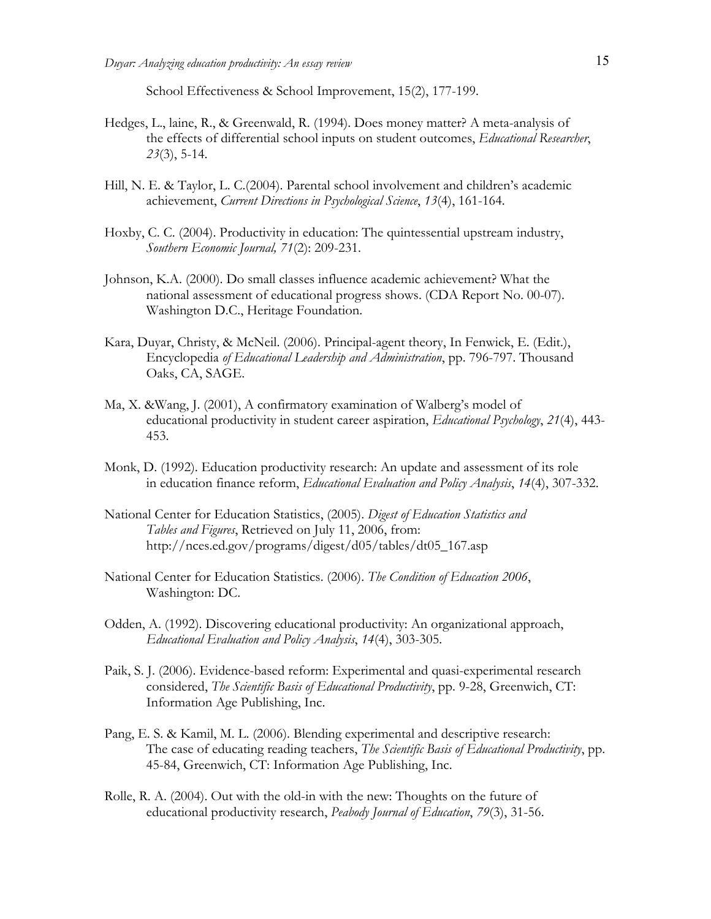School Effectiveness & School Improvement, 15(2), 177-199.

- Hedges, L., laine, R., & Greenwald, R. (1994). Does money matter? A meta-analysis of the effects of differential school inputs on student outcomes, *Educational Researcher*, *23*(3), 5-14.
- Hill, N. E. & Taylor, L. C.(2004). Parental school involvement and children's academic achievement, *Current Directions in Psychological Science*, *13*(4), 161-164.
- Hoxby, C. C. (2004). Productivity in education: The quintessential upstream industry, *Southern Economic Journal, 71*(2): 209-231.
- Johnson, K.A. (2000). Do small classes influence academic achievement? What the national assessment of educational progress shows. (CDA Report No. 00-07). Washington D.C., Heritage Foundation.
- Kara, Duyar, Christy, & McNeil. (2006). Principal-agent theory, In Fenwick, E. (Edit.), Encyclopedia *of Educational Leadership and Administration*, pp. 796-797. Thousand Oaks, CA, SAGE.
- Ma, X. &Wang, J. (2001), A confirmatory examination of Walberg's model of educational productivity in student career aspiration, *Educational Psychology*, *21*(4), 443- 453.
- Monk, D. (1992). Education productivity research: An update and assessment of its role in education finance reform, *Educational Evaluation and Policy Analysis*, *14*(4), 307-332.
- National Center for Education Statistics, (2005). *Digest of Education Statistics and Tables and Figures*, Retrieved on July 11, 2006, from: http://nces.ed.gov/programs/digest/d05/tables/dt05\_167.asp
- National Center for Education Statistics. (2006). *The Condition of Education 2006*, Washington: DC.
- Odden, A. (1992). Discovering educational productivity: An organizational approach, *Educational Evaluation and Policy Analysis*, *14*(4), 303-305.
- Paik, S. J. (2006). Evidence-based reform: Experimental and quasi-experimental research considered, *The Scientific Basis of Educational Productivity*, pp. 9-28, Greenwich, CT: Information Age Publishing, Inc.
- Pang, E. S. & Kamil, M. L. (2006). Blending experimental and descriptive research: The case of educating reading teachers, *The Scientific Basis of Educational Productivity*, pp. 45-84, Greenwich, CT: Information Age Publishing, Inc.
- Rolle, R. A. (2004). Out with the old-in with the new: Thoughts on the future of educational productivity research, *Peabody Journal of Education*, *79*(3), 31-56.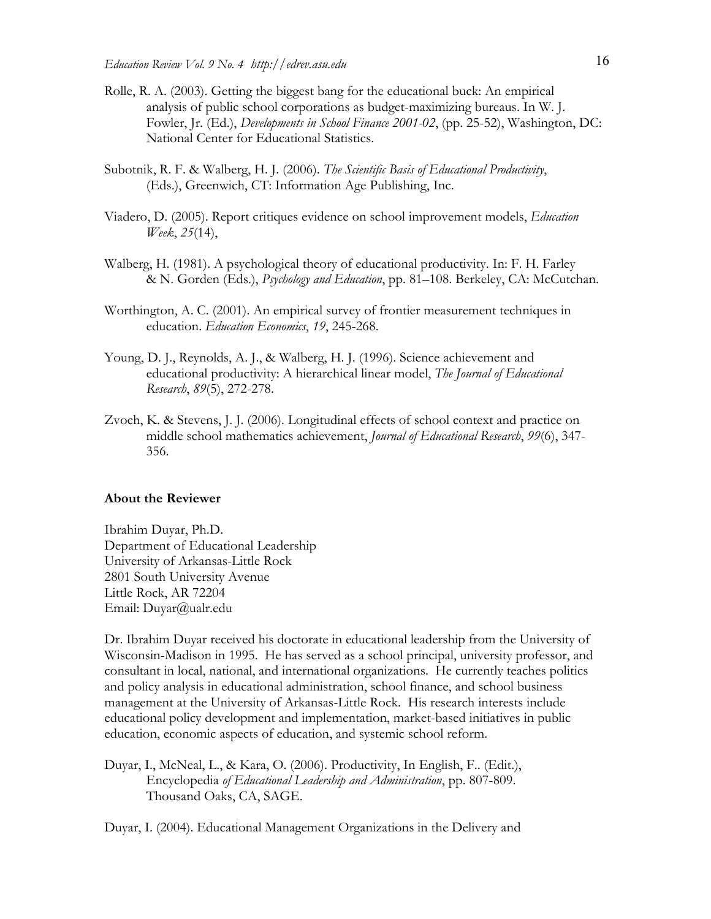- Rolle, R. A. (2003). Getting the biggest bang for the educational buck: An empirical analysis of public school corporations as budget-maximizing bureaus. In W. J. Fowler, Jr. (Ed.), *Developments in School Finance 2001-02*, (pp. 25-52), Washington, DC: National Center for Educational Statistics.
- Subotnik, R. F. & Walberg, H. J. (2006). *The Scientific Basis of Educational Productivity*, (Eds.), Greenwich, CT: Information Age Publishing, Inc.
- Viadero, D. (2005). Report critiques evidence on school improvement models, *Education Week*, *25*(14),
- Walberg, H. (1981). A psychological theory of educational productivity. In: F. H. Farley & N. Gorden (Eds.), *Psychology and Education*, pp. 81–108. Berkeley, CA: McCutchan.
- Worthington, A. C. (2001). An empirical survey of frontier measurement techniques in education. *Education Economics*, *19*, 245-268.
- Young, D. J., Reynolds, A. J., & Walberg, H. J. (1996). Science achievement and educational productivity: A hierarchical linear model, *The Journal of Educational Research*, *89*(5), 272-278.
- Zvoch, K. & Stevens, J. J. (2006). Longitudinal effects of school context and practice on middle school mathematics achievement, *Journal of Educational Research*, *99*(6), 347- 356.

#### **About the Reviewer**

Ibrahim Duyar, Ph.D. Department of Educational Leadership University of Arkansas-Little Rock 2801 South University Avenue Little Rock, AR 72204 Email: Duyar@ualr.edu

Dr. Ibrahim Duyar received his doctorate in educational leadership from the University of Wisconsin-Madison in 1995. He has served as a school principal, university professor, and consultant in local, national, and international organizations. He currently teaches politics and policy analysis in educational administration, school finance, and school business management at the University of Arkansas-Little Rock. His research interests include educational policy development and implementation, market-based initiatives in public education, economic aspects of education, and systemic school reform.

Duyar, I., McNeal, L., & Kara, O. (2006). Productivity, In English, F.. (Edit.), Encyclopedia *of Educational Leadership and Administration*, pp. 807-809. Thousand Oaks, CA, SAGE.

Duyar, I. (2004). Educational Management Organizations in the Delivery and